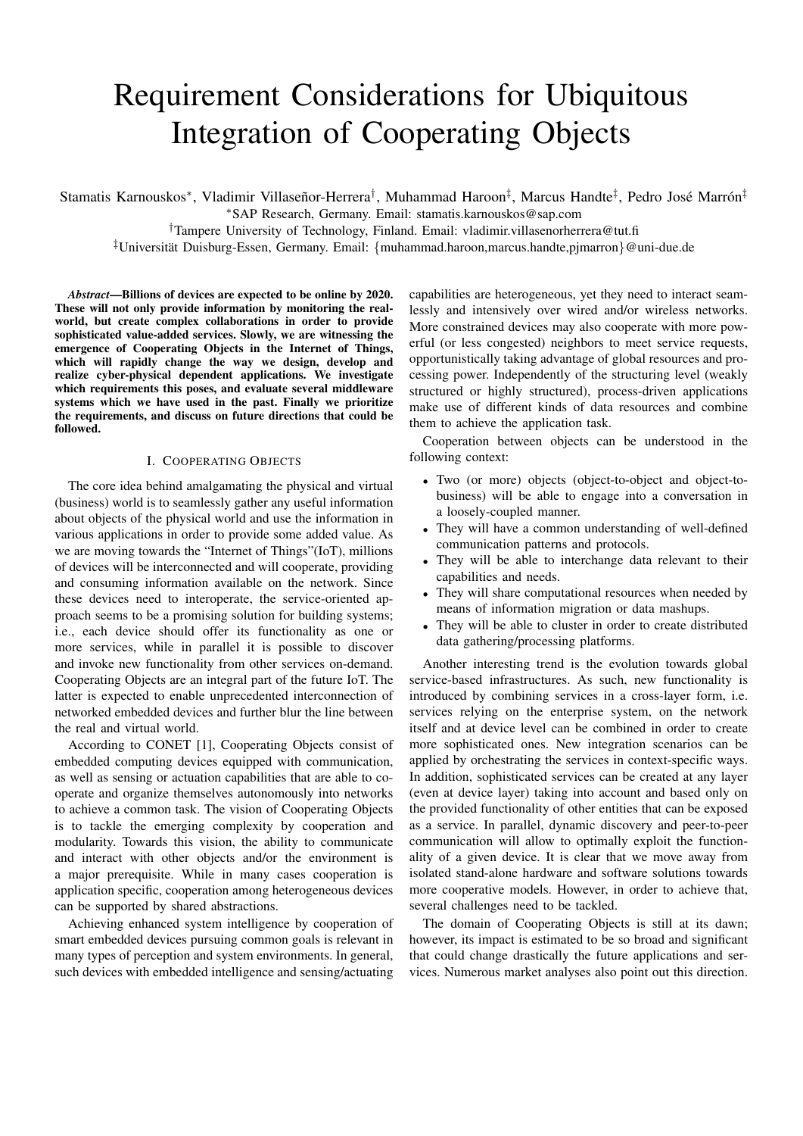# Requirement Considerations for Ubiquitous Integration of Cooperating Objects

Stamatis Karnouskos\*, Vladimir Villaseñor-Herrera<sup>†</sup>, Muhammad Haroon<sup>‡</sup>, Marcus Handte<sup>‡</sup>, Pedro José Marrón<sup>‡</sup>

<sup>∗</sup>SAP Research, Germany. Email: stamatis.karnouskos@sap.com

†Tampere University of Technology, Finland. Email: vladimir.villasenorherrera@tut.fi

‡Universitat Duisburg-Essen, Germany. Email: ¨ {muhammad.haroon,marcus.handte,pjmarron}@uni-due.de

*Abstract*—Billions of devices are expected to be online by 2020. These will not only provide information by monitoring the realworld, but create complex collaborations in order to provide sophisticated value-added services. Slowly, we are witnessing the emergence of Cooperating Objects in the Internet of Things, which will rapidly change the way we design, develop and realize cyber-physical dependent applications. We investigate which requirements this poses, and evaluate several middleware systems which we have used in the past. Finally we prioritize the requirements, and discuss on future directions that could be followed.

### I. COOPERATING OBJECTS

The core idea behind amalgamating the physical and virtual (business) world is to seamlessly gather any useful information about objects of the physical world and use the information in various applications in order to provide some added value. As we are moving towards the "Internet of Things"(IoT), millions of devices will be interconnected and will cooperate, providing and consuming information available on the network. Since these devices need to interoperate, the service-oriented approach seems to be a promising solution for building systems; i.e., each device should offer its functionality as one or more services, while in parallel it is possible to discover and invoke new functionality from other services on-demand. Cooperating Objects are an integral part of the future IoT. The latter is expected to enable unprecedented interconnection of networked embedded devices and further blur the line between the real and virtual world.

According to CONET [1], Cooperating Objects consist of embedded computing devices equipped with communication, as well as sensing or actuation capabilities that are able to cooperate and organize themselves autonomously into networks to achieve a common task. The vision of Cooperating Objects is to tackle the emerging complexity by cooperation and modularity. Towards this vision, the ability to communicate and interact with other objects and/or the environment is a major prerequisite. While in many cases cooperation is application specific, cooperation among heterogeneous devices can be supported by shared abstractions.

Achieving enhanced system intelligence by cooperation of smart embedded devices pursuing common goals is relevant in many types of perception and system environments. In general, such devices with embedded intelligence and sensing/actuating

capabilities are heterogeneous, yet they need to interact seamlessly and intensively over wired and/or wireless networks. More constrained devices may also cooperate with more powerful (or less congested) neighbors to meet service requests, opportunistically taking advantage of global resources and processing power. Independently of the structuring level (weakly structured or highly structured), process-driven applications make use of different kinds of data resources and combine them to achieve the application task.

Cooperation between objects can be understood in the following context:

- Two (or more) objects (object-to-object and object-tobusiness) will be able to engage into a conversation in a loosely-coupled manner.
- They will have a common understanding of well-defined communication patterns and protocols.
- They will be able to interchange data relevant to their capabilities and needs.
- They will share computational resources when needed by means of information migration or data mashups.
- They will be able to cluster in order to create distributed data gathering/processing platforms.

Another interesting trend is the evolution towards global service-based infrastructures. As such, new functionality is introduced by combining services in a cross-layer form, i.e. services relying on the enterprise system, on the network itself and at device level can be combined in order to create more sophisticated ones. New integration scenarios can be applied by orchestrating the services in context-specific ways. In addition, sophisticated services can be created at any layer (even at device layer) taking into account and based only on the provided functionality of other entities that can be exposed as a service. In parallel, dynamic discovery and peer-to-peer communication will allow to optimally exploit the functionality of a given device. It is clear that we move away from isolated stand-alone hardware and software solutions towards more cooperative models. However, in order to achieve that, several challenges need to be tackled.

The domain of Cooperating Objects is still at its dawn; however, its impact is estimated to be so broad and significant that could change drastically the future applications and services. Numerous market analyses also point out this direction.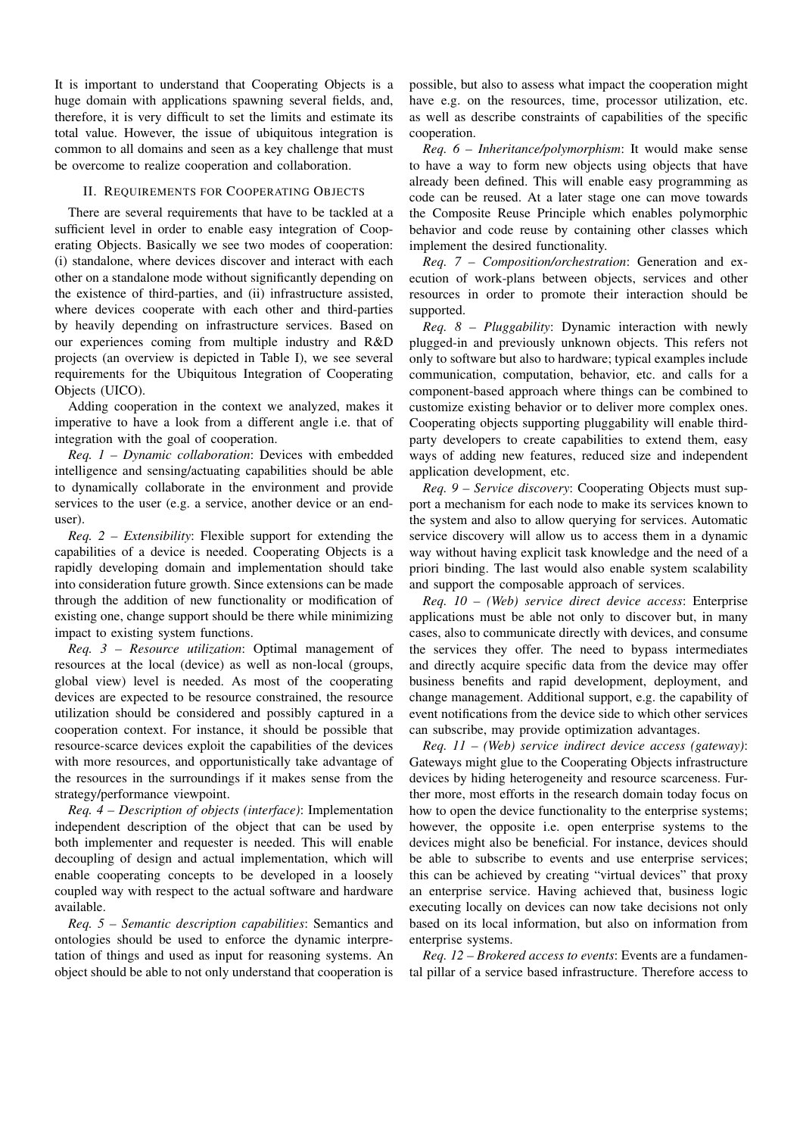It is important to understand that Cooperating Objects is a huge domain with applications spawning several fields, and, therefore, it is very difficult to set the limits and estimate its total value. However, the issue of ubiquitous integration is common to all domains and seen as a key challenge that must be overcome to realize cooperation and collaboration.

## II. REQUIREMENTS FOR COOPERATING OBJECTS

There are several requirements that have to be tackled at a sufficient level in order to enable easy integration of Cooperating Objects. Basically we see two modes of cooperation: (i) standalone, where devices discover and interact with each other on a standalone mode without significantly depending on the existence of third-parties, and (ii) infrastructure assisted, where devices cooperate with each other and third-parties by heavily depending on infrastructure services. Based on our experiences coming from multiple industry and R&D projects (an overview is depicted in Table I), we see several requirements for the Ubiquitous Integration of Cooperating Objects (UICO).

Adding cooperation in the context we analyzed, makes it imperative to have a look from a different angle i.e. that of integration with the goal of cooperation.

*Req. 1 – Dynamic collaboration*: Devices with embedded intelligence and sensing/actuating capabilities should be able to dynamically collaborate in the environment and provide services to the user (e.g. a service, another device or an enduser).

*Req. 2 – Extensibility*: Flexible support for extending the capabilities of a device is needed. Cooperating Objects is a rapidly developing domain and implementation should take into consideration future growth. Since extensions can be made through the addition of new functionality or modification of existing one, change support should be there while minimizing impact to existing system functions.

*Req. 3 – Resource utilization*: Optimal management of resources at the local (device) as well as non-local (groups, global view) level is needed. As most of the cooperating devices are expected to be resource constrained, the resource utilization should be considered and possibly captured in a cooperation context. For instance, it should be possible that resource-scarce devices exploit the capabilities of the devices with more resources, and opportunistically take advantage of the resources in the surroundings if it makes sense from the strategy/performance viewpoint.

*Req. 4 – Description of objects (interface)*: Implementation independent description of the object that can be used by both implementer and requester is needed. This will enable decoupling of design and actual implementation, which will enable cooperating concepts to be developed in a loosely coupled way with respect to the actual software and hardware available.

*Req. 5 – Semantic description capabilities*: Semantics and ontologies should be used to enforce the dynamic interpretation of things and used as input for reasoning systems. An object should be able to not only understand that cooperation is possible, but also to assess what impact the cooperation might have e.g. on the resources, time, processor utilization, etc. as well as describe constraints of capabilities of the specific cooperation.

*Req. 6 – Inheritance/polymorphism*: It would make sense to have a way to form new objects using objects that have already been defined. This will enable easy programming as code can be reused. At a later stage one can move towards the Composite Reuse Principle which enables polymorphic behavior and code reuse by containing other classes which implement the desired functionality.

*Req. 7 – Composition/orchestration*: Generation and execution of work-plans between objects, services and other resources in order to promote their interaction should be supported.

*Req. 8 – Pluggability*: Dynamic interaction with newly plugged-in and previously unknown objects. This refers not only to software but also to hardware; typical examples include communication, computation, behavior, etc. and calls for a component-based approach where things can be combined to customize existing behavior or to deliver more complex ones. Cooperating objects supporting pluggability will enable thirdparty developers to create capabilities to extend them, easy ways of adding new features, reduced size and independent application development, etc.

*Req. 9 – Service discovery*: Cooperating Objects must support a mechanism for each node to make its services known to the system and also to allow querying for services. Automatic service discovery will allow us to access them in a dynamic way without having explicit task knowledge and the need of a priori binding. The last would also enable system scalability and support the composable approach of services.

*Req. 10 – (Web) service direct device access*: Enterprise applications must be able not only to discover but, in many cases, also to communicate directly with devices, and consume the services they offer. The need to bypass intermediates and directly acquire specific data from the device may offer business benefits and rapid development, deployment, and change management. Additional support, e.g. the capability of event notifications from the device side to which other services can subscribe, may provide optimization advantages.

*Req. 11 – (Web) service indirect device access (gateway)*: Gateways might glue to the Cooperating Objects infrastructure devices by hiding heterogeneity and resource scarceness. Further more, most efforts in the research domain today focus on how to open the device functionality to the enterprise systems; however, the opposite i.e. open enterprise systems to the devices might also be beneficial. For instance, devices should be able to subscribe to events and use enterprise services; this can be achieved by creating "virtual devices" that proxy an enterprise service. Having achieved that, business logic executing locally on devices can now take decisions not only based on its local information, but also on information from enterprise systems.

*Req. 12 – Brokered access to events*: Events are a fundamental pillar of a service based infrastructure. Therefore access to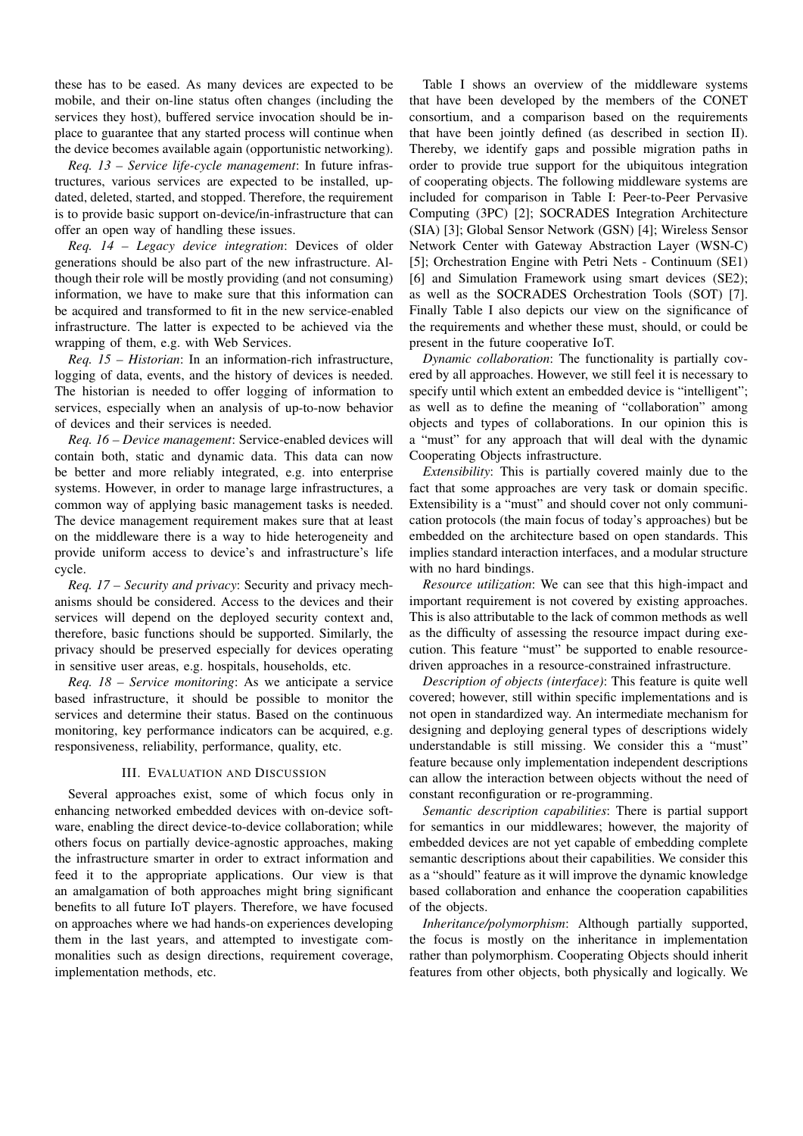these has to be eased. As many devices are expected to be mobile, and their on-line status often changes (including the services they host), buffered service invocation should be inplace to guarantee that any started process will continue when the device becomes available again (opportunistic networking).

*Req. 13 – Service life-cycle management*: In future infrastructures, various services are expected to be installed, updated, deleted, started, and stopped. Therefore, the requirement is to provide basic support on-device/in-infrastructure that can offer an open way of handling these issues.

*Req. 14 – Legacy device integration*: Devices of older generations should be also part of the new infrastructure. Although their role will be mostly providing (and not consuming) information, we have to make sure that this information can be acquired and transformed to fit in the new service-enabled infrastructure. The latter is expected to be achieved via the wrapping of them, e.g. with Web Services.

*Req. 15 – Historian*: In an information-rich infrastructure, logging of data, events, and the history of devices is needed. The historian is needed to offer logging of information to services, especially when an analysis of up-to-now behavior of devices and their services is needed.

*Req. 16 – Device management*: Service-enabled devices will contain both, static and dynamic data. This data can now be better and more reliably integrated, e.g. into enterprise systems. However, in order to manage large infrastructures, a common way of applying basic management tasks is needed. The device management requirement makes sure that at least on the middleware there is a way to hide heterogeneity and provide uniform access to device's and infrastructure's life cycle.

*Req. 17 – Security and privacy*: Security and privacy mechanisms should be considered. Access to the devices and their services will depend on the deployed security context and, therefore, basic functions should be supported. Similarly, the privacy should be preserved especially for devices operating in sensitive user areas, e.g. hospitals, households, etc.

*Req. 18 – Service monitoring*: As we anticipate a service based infrastructure, it should be possible to monitor the services and determine their status. Based on the continuous monitoring, key performance indicators can be acquired, e.g. responsiveness, reliability, performance, quality, etc.

## III. EVALUATION AND DISCUSSION

Several approaches exist, some of which focus only in enhancing networked embedded devices with on-device software, enabling the direct device-to-device collaboration; while others focus on partially device-agnostic approaches, making the infrastructure smarter in order to extract information and feed it to the appropriate applications. Our view is that an amalgamation of both approaches might bring significant benefits to all future IoT players. Therefore, we have focused on approaches where we had hands-on experiences developing them in the last years, and attempted to investigate commonalities such as design directions, requirement coverage, implementation methods, etc.

Table I shows an overview of the middleware systems that have been developed by the members of the CONET consortium, and a comparison based on the requirements that have been jointly defined (as described in section II). Thereby, we identify gaps and possible migration paths in order to provide true support for the ubiquitous integration of cooperating objects. The following middleware systems are included for comparison in Table I: Peer-to-Peer Pervasive Computing (3PC) [2]; SOCRADES Integration Architecture (SIA) [3]; Global Sensor Network (GSN) [4]; Wireless Sensor Network Center with Gateway Abstraction Layer (WSN-C) [5]; Orchestration Engine with Petri Nets - Continuum (SE1) [6] and Simulation Framework using smart devices (SE2); as well as the SOCRADES Orchestration Tools (SOT) [7]. Finally Table I also depicts our view on the significance of the requirements and whether these must, should, or could be present in the future cooperative IoT.

*Dynamic collaboration*: The functionality is partially covered by all approaches. However, we still feel it is necessary to specify until which extent an embedded device is "intelligent"; as well as to define the meaning of "collaboration" among objects and types of collaborations. In our opinion this is a "must" for any approach that will deal with the dynamic Cooperating Objects infrastructure.

*Extensibility*: This is partially covered mainly due to the fact that some approaches are very task or domain specific. Extensibility is a "must" and should cover not only communication protocols (the main focus of today's approaches) but be embedded on the architecture based on open standards. This implies standard interaction interfaces, and a modular structure with no hard bindings.

*Resource utilization*: We can see that this high-impact and important requirement is not covered by existing approaches. This is also attributable to the lack of common methods as well as the difficulty of assessing the resource impact during execution. This feature "must" be supported to enable resourcedriven approaches in a resource-constrained infrastructure.

*Description of objects (interface)*: This feature is quite well covered; however, still within specific implementations and is not open in standardized way. An intermediate mechanism for designing and deploying general types of descriptions widely understandable is still missing. We consider this a "must" feature because only implementation independent descriptions can allow the interaction between objects without the need of constant reconfiguration or re-programming.

*Semantic description capabilities*: There is partial support for semantics in our middlewares; however, the majority of embedded devices are not yet capable of embedding complete semantic descriptions about their capabilities. We consider this as a "should" feature as it will improve the dynamic knowledge based collaboration and enhance the cooperation capabilities of the objects.

*Inheritance/polymorphism*: Although partially supported, the focus is mostly on the inheritance in implementation rather than polymorphism. Cooperating Objects should inherit features from other objects, both physically and logically. We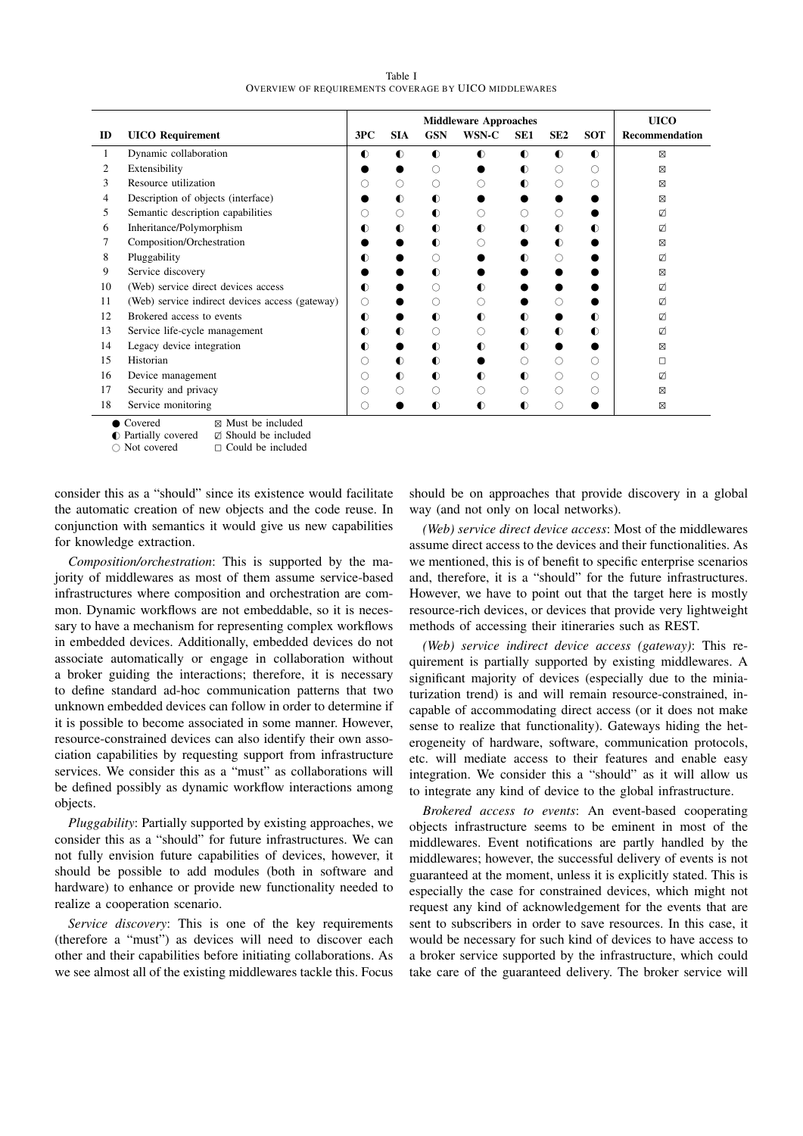| Table I |                                                       |  |  |  |  |  |  |  |  |  |
|---------|-------------------------------------------------------|--|--|--|--|--|--|--|--|--|
|         | OVERVIEW OF REQUIREMENTS COVERAGE BY UICO MIDDLEWARES |  |  |  |  |  |  |  |  |  |

|    |                                                 | <b>Middleware Approaches</b> |            |            |           |           |                 | <b>UICO</b> |                       |
|----|-------------------------------------------------|------------------------------|------------|------------|-----------|-----------|-----------------|-------------|-----------------------|
| ID | <b>UICO</b> Requirement                         | 3PC                          | <b>SIA</b> | <b>GSN</b> | WSN-C     | SE1       | SE <sub>2</sub> | SOT         | <b>Recommendation</b> |
| 1  | Dynamic collaboration                           |                              | $\bullet$  | $\bullet$  | $\bullet$ | $\bullet$ | $\bullet$       | $\bullet$   | ⊠                     |
|    | Extensibility                                   |                              |            | O          |           | $\bullet$ | $\circ$         | Ω           | ⊠                     |
| 3  | Resource utilization                            |                              |            | O          |           | $\bullet$ | О               | O           | ⊠                     |
| 4  | Description of objects (interface)              |                              | $\bullet$  | ∩          |           |           |                 |             | ⊠                     |
| 5. | Semantic description capabilities               |                              | Ο          | $\bullet$  | O         | O         | О               |             | ø                     |
| 6  | Inheritance/Polymorphism                        |                              | $\bullet$  | $\bullet$  | $\bullet$ | $\bullet$ | $\bullet$       | $\bullet$   | ø                     |
|    | Composition/Orchestration                       |                              |            | $\bullet$  |           |           | $\bullet$       |             | ⊠                     |
| 8  | Pluggability                                    |                              |            | Ω          |           | $\bullet$ | O               |             | ø                     |
| 9  | Service discovery                               |                              |            | ∩          |           |           |                 |             | ⊠                     |
| 10 | (Web) service direct devices access             |                              |            | O          | $\bullet$ |           |                 |             | V)                    |
| 11 | (Web) service indirect devices access (gateway) |                              |            | ⊖          | ()        |           | ∩               |             | V)                    |
| 12 | Brokered access to events                       |                              |            | $\bullet$  | $\bullet$ | $\bullet$ |                 | $\bullet$   | ø                     |
| 13 | Service life-cycle management                   |                              | $\bullet$  | ⊖          | Ω         | $\bullet$ | $\bullet$       | $\bullet$   | ø                     |
| 14 | Legacy device integration                       |                              |            | ∩          | $\bullet$ | $\bullet$ |                 |             | ⊠                     |
| 15 | Historian                                       |                              | $\bullet$  | $\bullet$  |           | O         | O               | Ω           |                       |
| 16 | Device management                               |                              | $\bullet$  | $\bullet$  | $\bullet$ | $\bullet$ | $\bigcirc$      | Ω           | V)                    |
| 17 | Security and privacy                            |                              | O          |            |           | O         | O               | O           | ⊠                     |
| 18 | Service monitoring                              |                              |            | ∩          | $\bullet$ | $\bullet$ | C               |             | ⊠                     |

<sup>•</sup> Covered  $\boxtimes$  Must be included  $\bigcirc$  Partially covered  $\boxtimes$  Should be include

 $\Box$  Could be included

consider this as a "should" since its existence would facilitate the automatic creation of new objects and the code reuse. In conjunction with semantics it would give us new capabilities for knowledge extraction.

*Composition/orchestration*: This is supported by the majority of middlewares as most of them assume service-based infrastructures where composition and orchestration are common. Dynamic workflows are not embeddable, so it is necessary to have a mechanism for representing complex workflows in embedded devices. Additionally, embedded devices do not associate automatically or engage in collaboration without a broker guiding the interactions; therefore, it is necessary to define standard ad-hoc communication patterns that two unknown embedded devices can follow in order to determine if it is possible to become associated in some manner. However, resource-constrained devices can also identify their own association capabilities by requesting support from infrastructure services. We consider this as a "must" as collaborations will be defined possibly as dynamic workflow interactions among objects.

*Pluggability*: Partially supported by existing approaches, we consider this as a "should" for future infrastructures. We can not fully envision future capabilities of devices, however, it should be possible to add modules (both in software and hardware) to enhance or provide new functionality needed to realize a cooperation scenario.

*Service discovery*: This is one of the key requirements (therefore a "must") as devices will need to discover each other and their capabilities before initiating collaborations. As we see almost all of the existing middlewares tackle this. Focus should be on approaches that provide discovery in a global way (and not only on local networks).

*(Web) service direct device access*: Most of the middlewares assume direct access to the devices and their functionalities. As we mentioned, this is of benefit to specific enterprise scenarios and, therefore, it is a "should" for the future infrastructures. However, we have to point out that the target here is mostly resource-rich devices, or devices that provide very lightweight methods of accessing their itineraries such as REST.

*(Web) service indirect device access (gateway)*: This requirement is partially supported by existing middlewares. A significant majority of devices (especially due to the miniaturization trend) is and will remain resource-constrained, incapable of accommodating direct access (or it does not make sense to realize that functionality). Gateways hiding the heterogeneity of hardware, software, communication protocols, etc. will mediate access to their features and enable easy integration. We consider this a "should" as it will allow us to integrate any kind of device to the global infrastructure.

*Brokered access to events*: An event-based cooperating objects infrastructure seems to be eminent in most of the middlewares. Event notifications are partly handled by the middlewares; however, the successful delivery of events is not guaranteed at the moment, unless it is explicitly stated. This is especially the case for constrained devices, which might not request any kind of acknowledgement for the events that are sent to subscribers in order to save resources. In this case, it would be necessary for such kind of devices to have access to a broker service supported by the infrastructure, which could take care of the guaranteed delivery. The broker service will

 $\bigcirc$  Partially covered  $\bigcirc$  Should be included  $\bigcirc$  Not covered  $\bigcirc$  Could be included